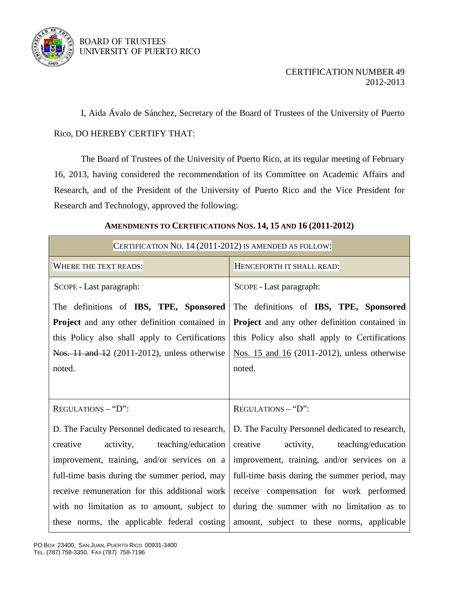

## BOARD OF TRUSTEES UNIVERSITY OF PUERTO RICO

## CERTIFICATION NUMBER 49 2012-2013

 I, Aida Ávalo de Sánchez, Secretary of the Board of Trustees of the University of Puerto Rico, DO HEREBY CERTIFY THAT:

 The Board of Trustees of the University of Puerto Rico, at its regular meeting of February 16, 2013, having considered the recommendation of its Committee on Academic Affairs and Research, and of the President of the University of Puerto Rico and the Vice President for Research and Technology, approved the following:

## **AMENDMENTS TO CERTIFICATIONS NOS. 14, 15 AND 16 (2011-2012)**

| CERTIFICATION NO. 14 (2011-2012) IS AMENDED AS FOLLOW:                                         |                                                                                                |
|------------------------------------------------------------------------------------------------|------------------------------------------------------------------------------------------------|
| WHERE THE TEXT READS:                                                                          | HENCEFORTH IT SHALL READ:                                                                      |
| SCOPE - Last paragraph:                                                                        | SCOPE - Last paragraph:                                                                        |
| The definitions of IBS, TPE, Sponsored<br><b>Project</b> and any other definition contained in | The definitions of IBS, TPE, Sponsored<br><b>Project</b> and any other definition contained in |
| this Policy also shall apply to Certifications                                                 | this Policy also shall apply to Certifications                                                 |
| Nos. 11 and 12 (2011-2012), unless otherwise                                                   | Nos. 15 and 16 (2011-2012), unless otherwise                                                   |
| noted.                                                                                         | noted.                                                                                         |
|                                                                                                |                                                                                                |
| REGULATIONS - "D":                                                                             | REGULATIONS - "D":                                                                             |
| D. The Faculty Personnel dedicated to research,                                                | D. The Faculty Personnel dedicated to research,                                                |
| creative<br>activity,<br>teaching/education                                                    | creative<br>activity, teaching/education                                                       |
| improvement, training, and/or services on a                                                    | improvement, training, and/or services on a                                                    |
| full-time basis during the summer period, may                                                  | full-time basis during the summer period, may                                                  |
| receive remuneration for this additional work                                                  | receive compensation for work performed                                                        |
| with no limitation as to amount, subject to                                                    | during the summer with no limitation as to                                                     |
| these norms, the applicable federal costing                                                    | amount, subject to these norms, applicable                                                     |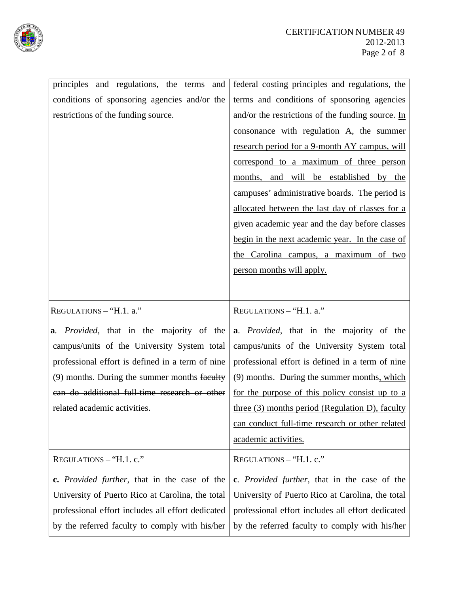

| principles and regulations, the terms and            | federal costing principles and regulations, the                  |
|------------------------------------------------------|------------------------------------------------------------------|
| conditions of sponsoring agencies and/or the         | terms and conditions of sponsoring agencies                      |
| restrictions of the funding source.                  | and/or the restrictions of the funding source. $\underline{\ln}$ |
|                                                      | consonance with regulation A, the summer                         |
|                                                      | research period for a 9-month AY campus, will                    |
|                                                      | correspond to a maximum of three person                          |
|                                                      | months, and will be established by the                           |
|                                                      | campuses' administrative boards. The period is                   |
|                                                      | allocated between the last day of classes for a                  |
|                                                      | given academic year and the day before classes                   |
|                                                      | begin in the next academic year. In the case of                  |
|                                                      | the Carolina campus, a maximum of two                            |
|                                                      | person months will apply.                                        |
|                                                      |                                                                  |
| REGULATIONS - "H.1. a."                              | REGULATIONS - "H.1. a."                                          |
|                                                      |                                                                  |
| a. <i>Provided</i> , that in the majority of the     | a. <i>Provided</i> , that in the majority of the                 |
| campus/units of the University System total          | campus/units of the University System total                      |
| professional effort is defined in a term of nine     | professional effort is defined in a term of nine                 |
| (9) months. During the summer months faculty         | (9) months. During the summer months, which                      |
| can do additional full-time research or other        | for the purpose of this policy consist up to a                   |
| related academic activities.                         | three (3) months period (Regulation D), faculty                  |
|                                                      | can conduct full-time research or other related                  |
|                                                      |                                                                  |
|                                                      | academic activities.                                             |
| REGULATIONS - "H.1. c."                              | REGULATIONS - "H.1. c."                                          |
| c. <i>Provided further</i> , that in the case of the | c. <i>Provided further</i> , that in the case of the             |
| University of Puerto Rico at Carolina, the total     | University of Puerto Rico at Carolina, the total                 |
| professional effort includes all effort dedicated    | professional effort includes all effort dedicated                |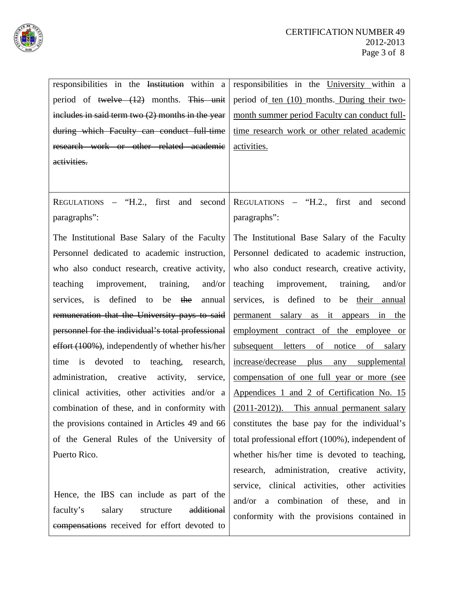

| responsibilities in the Institution within a       | responsibilities in the University within a         |
|----------------------------------------------------|-----------------------------------------------------|
| period of twelve $(12)$ months. This unit          | period of <u>ten (10)</u> months. During their two- |
| includes in said term two $(2)$ months in the year | month summer period Faculty can conduct full-       |
| during which Faculty can conduct full-time         | time research work or other related academic        |
| research work or other related academic            | activities.                                         |
| activities.                                        |                                                     |
|                                                    |                                                     |
| REGULATIONS - "H.2., first and second              | REGULATIONS $-$ "H.2., first<br>and<br>second       |
| paragraphs":                                       | paragraphs":                                        |
|                                                    |                                                     |
| The Institutional Base Salary of the Faculty       | The Institutional Base Salary of the Faculty        |
| Personnel dedicated to academic instruction,       | Personnel dedicated to academic instruction,        |
| who also conduct research, creative activity,      | who also conduct research, creative activity,       |
| improvement, training,<br>teaching<br>and/or       | improvement, training,<br>teaching<br>and/or        |
| defined to be the<br>services,<br>is<br>annual     | services, is defined to be their annual             |
| remuneration that the University pays to said      | permanent salary as it appears in the               |
| personnel for the individual's total professional  | employment contract of the employee or              |
| effort (100%), independently of whether his/her    | subsequent letters of notice<br>of salary           |
| devoted to teaching, research,<br>time<br>is       | increase/decrease plus<br>any supplemental          |
| administration, creative<br>activity, service,     | compensation of one full year or more (see          |
| clinical activities, other activities and/or a     | Appendices 1 and 2 of Certification No. 15          |
| combination of these, and in conformity with       | (2011-2012)). This annual permanent salary          |
| the provisions contained in Articles 49 and 66     | constitutes the base pay for the individual's       |
| of the General Rules of the University of          | total professional effort (100%), independent of    |
| Puerto Rico.                                       | whether his/her time is devoted to teaching,        |
|                                                    | research, administration, creative activity,        |
|                                                    | service, clinical activities, other activities      |
| Hence, the IBS can include as part of the          | and/or a combination of these, and in               |
| faculty's<br>salary<br>additional<br>structure     | conformity with the provisions contained in         |
| compensations received for effort devoted to       |                                                     |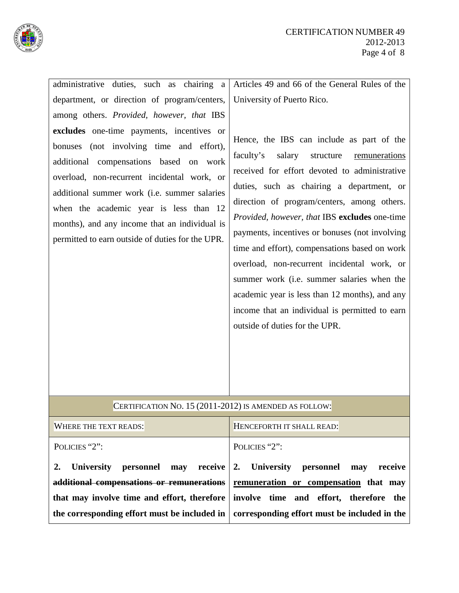

| administrative duties, such as chairing a                                                                                                                                                                                                                                                                                                                                     | Articles 49 and 66 of the General Rules of the                                                                                                                                                                                                                                                                                                                                                                                                                                                                                                                                                                                         |
|-------------------------------------------------------------------------------------------------------------------------------------------------------------------------------------------------------------------------------------------------------------------------------------------------------------------------------------------------------------------------------|----------------------------------------------------------------------------------------------------------------------------------------------------------------------------------------------------------------------------------------------------------------------------------------------------------------------------------------------------------------------------------------------------------------------------------------------------------------------------------------------------------------------------------------------------------------------------------------------------------------------------------------|
| department, or direction of program/centers,                                                                                                                                                                                                                                                                                                                                  | University of Puerto Rico.                                                                                                                                                                                                                                                                                                                                                                                                                                                                                                                                                                                                             |
| among others. Provided, however, that IBS                                                                                                                                                                                                                                                                                                                                     |                                                                                                                                                                                                                                                                                                                                                                                                                                                                                                                                                                                                                                        |
|                                                                                                                                                                                                                                                                                                                                                                               |                                                                                                                                                                                                                                                                                                                                                                                                                                                                                                                                                                                                                                        |
| excludes one-time payments, incentives or<br>bonuses (not involving time and effort),<br>additional compensations based on work<br>overload, non-recurrent incidental work, or<br>additional summer work (i.e. summer salaries<br>when the academic year is less than 12<br>months), and any income that an individual is<br>permitted to earn outside of duties for the UPR. | Hence, the IBS can include as part of the<br>salary structure<br>faculty's<br><u>remunerations</u><br>received for effort devoted to administrative<br>duties, such as chairing a department, or<br>direction of program/centers, among others.<br>Provided, however, that IBS excludes one-time<br>payments, incentives or bonuses (not involving<br>time and effort), compensations based on work<br>overload, non-recurrent incidental work, or<br>summer work (i.e. summer salaries when the<br>academic year is less than 12 months), and any<br>income that an individual is permitted to earn<br>outside of duties for the UPR. |
| CERTIFICATION NO. 15 (2011-2012) IS AMENDED AS FOLLOW:                                                                                                                                                                                                                                                                                                                        |                                                                                                                                                                                                                                                                                                                                                                                                                                                                                                                                                                                                                                        |
| <b>WHERE THE TEXT READS:</b>                                                                                                                                                                                                                                                                                                                                                  | HENCEFORTH IT SHALL READ:                                                                                                                                                                                                                                                                                                                                                                                                                                                                                                                                                                                                              |
| POLICIES "2":                                                                                                                                                                                                                                                                                                                                                                 | POLICIES "2":                                                                                                                                                                                                                                                                                                                                                                                                                                                                                                                                                                                                                          |
| University<br>personnel<br>may<br>receive<br>2.                                                                                                                                                                                                                                                                                                                               | <b>University</b><br>personnel<br>may<br>receive<br>2.                                                                                                                                                                                                                                                                                                                                                                                                                                                                                                                                                                                 |
| additional compensations or remunerations                                                                                                                                                                                                                                                                                                                                     | remuneration or compensation that may                                                                                                                                                                                                                                                                                                                                                                                                                                                                                                                                                                                                  |
| that may involve time and effort, therefore                                                                                                                                                                                                                                                                                                                                   | involve time and effort, therefore<br>the                                                                                                                                                                                                                                                                                                                                                                                                                                                                                                                                                                                              |
| the corresponding effort must be included in                                                                                                                                                                                                                                                                                                                                  | corresponding effort must be included in the                                                                                                                                                                                                                                                                                                                                                                                                                                                                                                                                                                                           |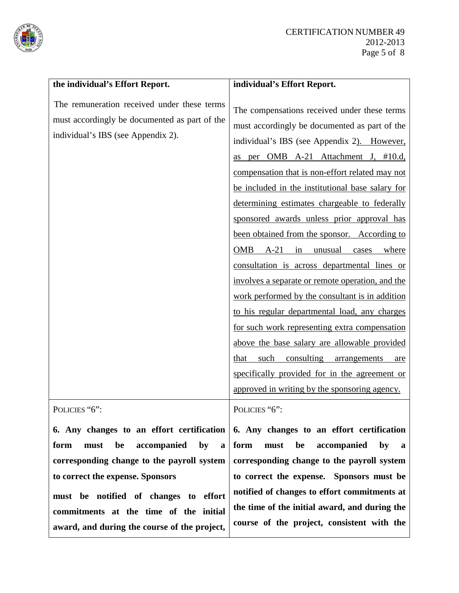

| the individual's Effort Report.                                                                                                    | individual's Effort Report.                                                                                                                                                                                                                                                                                                                                                                                                                                                                                                                                                                                                                                                                                                                                                                                                                                                                                                                                        |
|------------------------------------------------------------------------------------------------------------------------------------|--------------------------------------------------------------------------------------------------------------------------------------------------------------------------------------------------------------------------------------------------------------------------------------------------------------------------------------------------------------------------------------------------------------------------------------------------------------------------------------------------------------------------------------------------------------------------------------------------------------------------------------------------------------------------------------------------------------------------------------------------------------------------------------------------------------------------------------------------------------------------------------------------------------------------------------------------------------------|
| The remuneration received under these terms<br>must accordingly be documented as part of the<br>individual's IBS (see Appendix 2). | The compensations received under these terms<br>must accordingly be documented as part of the<br>individual's IBS (see Appendix 2). However,<br>as per OMB A-21 Attachment J, #10.d,<br>compensation that is non-effort related may not<br>be included in the institutional base salary for<br>determining estimates chargeable to federally<br>sponsored awards unless prior approval has<br>been obtained from the sponsor. According to<br><b>OMB</b><br>$A-21$<br>in<br>unusual<br>cases where<br>consultation is across departmental lines or<br>involves a separate or remote operation, and the<br>work performed by the consultant is in addition<br>to his regular departmental load, any charges<br>for such work representing extra compensation<br>above the base salary are allowable provided<br>consulting<br>such<br>that<br>arrangements<br>are<br>specifically provided for in the agreement or<br>approved in writing by the sponsoring agency. |
| POLICIES "6":                                                                                                                      | POLICIES "6":                                                                                                                                                                                                                                                                                                                                                                                                                                                                                                                                                                                                                                                                                                                                                                                                                                                                                                                                                      |
|                                                                                                                                    | 6. Any changes to an effort certification $\vert$ 6. Any changes to an effort certification                                                                                                                                                                                                                                                                                                                                                                                                                                                                                                                                                                                                                                                                                                                                                                                                                                                                        |

**form must be accompanied by a corresponding change to the payroll system to correct the expense. Sponsors** 

**must be notified of changes to effort commitments at the time of the initial award, and during the course of the project,** 

**6. Any changes to an effort certification form must be accompanied by a corresponding change to the payroll system to correct the expense. Sponsors must be notified of changes to effort commitments at the time of the initial award, and during the course of the project, consistent with the**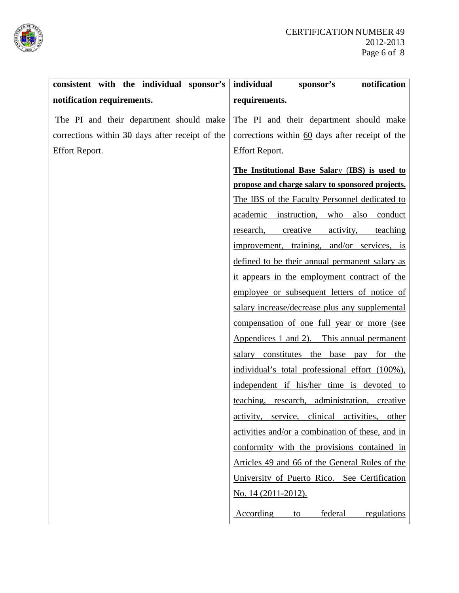

| consistent with the individual sponsor's        | individual<br>notification<br>sponsor's                   |
|-------------------------------------------------|-----------------------------------------------------------|
| notification requirements.                      | requirements.                                             |
| The PI and their department should make         | The PI and their department should make                   |
| corrections within 30 days after receipt of the | corrections within $60$ days after receipt of the         |
| <b>Effort Report.</b>                           | <b>Effort Report.</b>                                     |
|                                                 | The Institutional Base Salary (IBS) is used to            |
|                                                 | propose and charge salary to sponsored projects.          |
|                                                 | The IBS of the Faculty Personnel dedicated to             |
|                                                 | academic instruction,<br>who<br>also conduct              |
|                                                 | creative<br>activity,<br>research,<br>teaching            |
|                                                 | improvement, training, and/or services, is                |
|                                                 | defined to be their annual permanent salary as            |
|                                                 | it appears in the employment contract of the              |
|                                                 | employee or subsequent letters of notice of               |
|                                                 | salary increase/decrease plus any supplemental            |
|                                                 | compensation of one full year or more (see                |
|                                                 | Appendices 1 and 2). This annual permanent                |
|                                                 | salary constitutes the base pay for the                   |
|                                                 | individual's total professional effort (100%),            |
|                                                 | independent if his/her time is devoted to                 |
|                                                 | teaching, research, administration, creative              |
|                                                 | activities,<br>activity,<br>service,<br>clinical<br>other |
|                                                 | activities and/or a combination of these, and in          |
|                                                 | conformity with the provisions contained in               |
|                                                 | Articles 49 and 66 of the General Rules of the            |
|                                                 | University of Puerto Rico. See Certification              |
|                                                 | <u>No. 14 (2011-2012).</u>                                |
|                                                 | According<br>federal<br>regulations<br>to                 |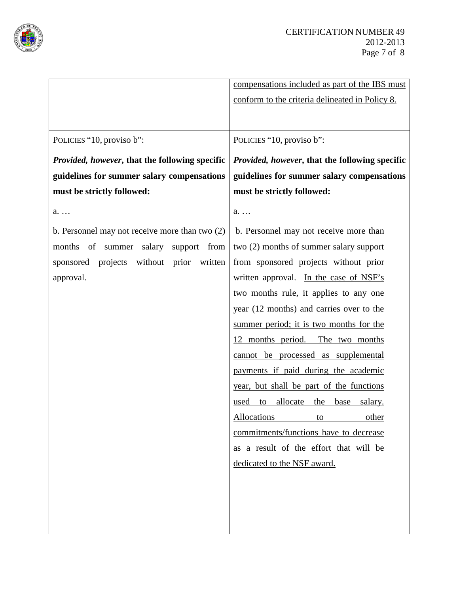

|                                                       | compensations included as part of the IBS must        |
|-------------------------------------------------------|-------------------------------------------------------|
|                                                       | conform to the criteria delineated in Policy 8.       |
|                                                       |                                                       |
|                                                       |                                                       |
| POLICIES "10, proviso b":                             | POLICIES "10, proviso b":                             |
| <i>Provided, however, that the following specific</i> | <i>Provided, however, that the following specific</i> |
| guidelines for summer salary compensations            | guidelines for summer salary compensations            |
| must be strictly followed:                            | must be strictly followed:                            |
| a.                                                    | $a_{\ldots}$                                          |
| b. Personnel may not receive more than two $(2)$      | b. Personnel may not receive more than                |
| of summer salary<br>months<br>support from            | two (2) months of summer salary support               |
| without prior<br>projects<br>written<br>sponsored     | from sponsored projects without prior                 |
| approval.                                             | written approval. In the case of NSF's                |
|                                                       | two months rule, it applies to any one                |
|                                                       | year (12 months) and carries over to the              |
|                                                       | summer period; it is two months for the               |
|                                                       | 12 months period. The two months                      |
|                                                       | cannot be processed as supplemental                   |
|                                                       | payments if paid during the academic                  |
|                                                       | year, but shall be part of the functions              |
|                                                       | allocate<br>the<br>base<br>used<br>to<br>salary.      |
|                                                       | Allocations<br>to<br><u>other</u>                     |
|                                                       | commitments/functions have to decrease                |
|                                                       | as a result of the effort that will be                |
|                                                       | dedicated to the NSF award.                           |
|                                                       |                                                       |
|                                                       |                                                       |
|                                                       |                                                       |
|                                                       |                                                       |